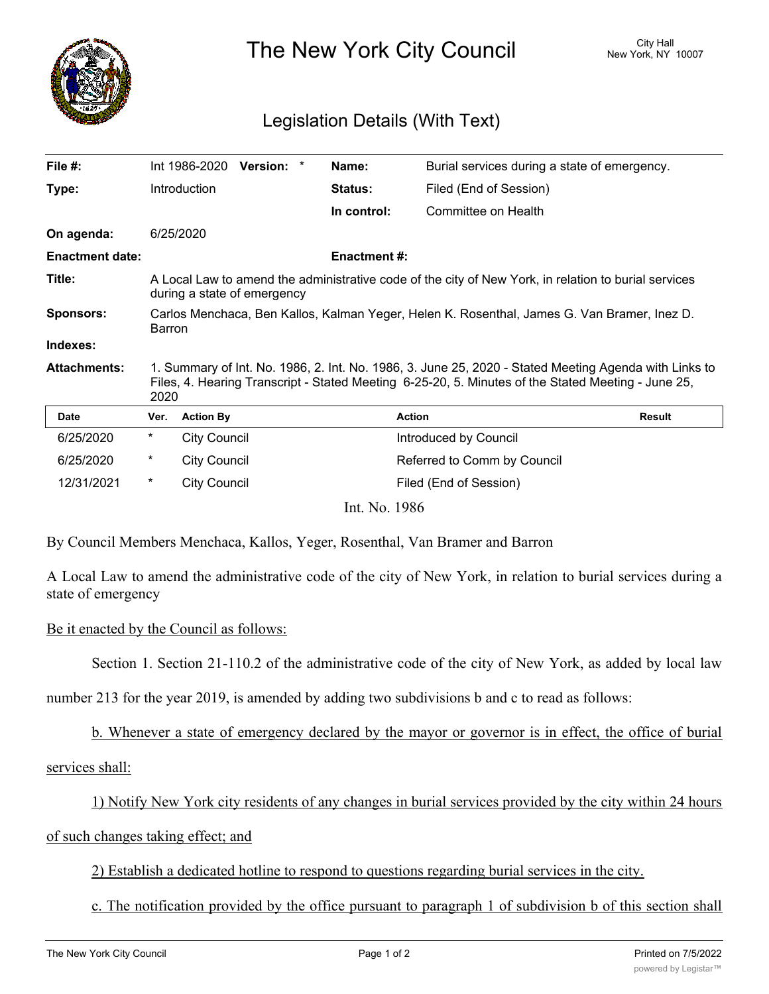

The New York City Council New York, NY 10007

## Legislation Details (With Text)

| File $#$ :             |                                                                                                                                                                                                                     | Int 1986-2020       | Version: * |  | Name:               | Burial services during a state of emergency. |               |
|------------------------|---------------------------------------------------------------------------------------------------------------------------------------------------------------------------------------------------------------------|---------------------|------------|--|---------------------|----------------------------------------------|---------------|
| Type:                  |                                                                                                                                                                                                                     | Introduction        |            |  | Status:             | Filed (End of Session)                       |               |
|                        |                                                                                                                                                                                                                     |                     |            |  | In control:         | Committee on Health                          |               |
| On agenda:             |                                                                                                                                                                                                                     | 6/25/2020           |            |  |                     |                                              |               |
| <b>Enactment date:</b> |                                                                                                                                                                                                                     |                     |            |  | <b>Enactment #:</b> |                                              |               |
| Title:                 | A Local Law to amend the administrative code of the city of New York, in relation to burial services<br>during a state of emergency                                                                                 |                     |            |  |                     |                                              |               |
| <b>Sponsors:</b>       | Carlos Menchaca, Ben Kallos, Kalman Yeger, Helen K. Rosenthal, James G. Van Bramer, Inez D.<br><b>Barron</b>                                                                                                        |                     |            |  |                     |                                              |               |
| Indexes:               |                                                                                                                                                                                                                     |                     |            |  |                     |                                              |               |
| <b>Attachments:</b>    | 1. Summary of Int. No. 1986, 2. Int. No. 1986, 3. June 25, 2020 - Stated Meeting Agenda with Links to<br>Files, 4. Hearing Transcript - Stated Meeting 6-25-20, 5. Minutes of the Stated Meeting - June 25,<br>2020 |                     |            |  |                     |                                              |               |
| <b>Date</b>            | Ver.                                                                                                                                                                                                                | <b>Action By</b>    |            |  |                     | <b>Action</b>                                | <b>Result</b> |
| 6/25/2020              | $^\star$                                                                                                                                                                                                            | <b>City Council</b> |            |  |                     | Introduced by Council                        |               |
| 6/25/2020              | $^\star$                                                                                                                                                                                                            | <b>City Council</b> |            |  |                     | Referred to Comm by Council                  |               |
| 12/31/2021             | $\ast$                                                                                                                                                                                                              | <b>City Council</b> |            |  |                     | Filed (End of Session)                       |               |
| Int. No. 1986          |                                                                                                                                                                                                                     |                     |            |  |                     |                                              |               |

By Council Members Menchaca, Kallos, Yeger, Rosenthal, Van Bramer and Barron

A Local Law to amend the administrative code of the city of New York, in relation to burial services during a state of emergency

## Be it enacted by the Council as follows:

Section 1. Section 21-110.2 of the administrative code of the city of New York, as added by local law

number 213 for the year 2019, is amended by adding two subdivisions b and c to read as follows:

b. Whenever a state of emergency declared by the mayor or governor is in effect, the office of burial

## services shall:

1) Notify New York city residents of any changes in burial services provided by the city within 24 hours

## of such changes taking effect; and

2) Establish a dedicated hotline to respond to questions regarding burial services in the city.

c. The notification provided by the office pursuant to paragraph 1 of subdivision b of this section shall